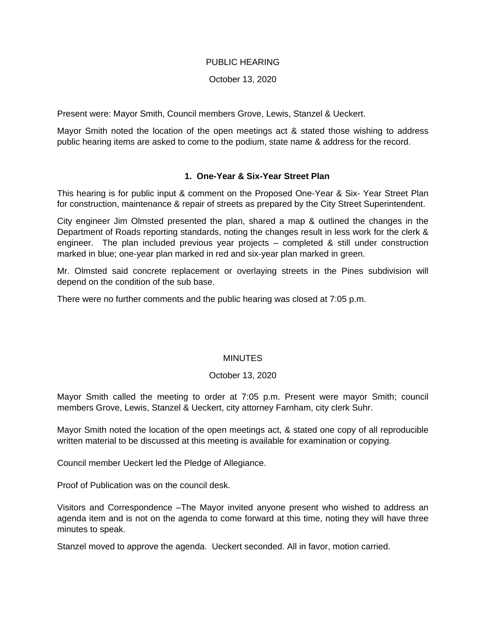## PUBLIC HEARING

## October 13, 2020

Present were: Mayor Smith, Council members Grove, Lewis, Stanzel & Ueckert.

Mayor Smith noted the location of the open meetings act & stated those wishing to address public hearing items are asked to come to the podium, state name & address for the record.

# **1. One-Year & Six-Year Street Plan**

This hearing is for public input & comment on the Proposed One-Year & Six- Year Street Plan for construction, maintenance & repair of streets as prepared by the City Street Superintendent.

City engineer Jim Olmsted presented the plan, shared a map & outlined the changes in the Department of Roads reporting standards, noting the changes result in less work for the clerk & engineer. The plan included previous year projects – completed & still under construction marked in blue; one-year plan marked in red and six-year plan marked in green.

Mr. Olmsted said concrete replacement or overlaying streets in the Pines subdivision will depend on the condition of the sub base.

There were no further comments and the public hearing was closed at 7:05 p.m.

# **MINUTES**

#### October 13, 2020

Mayor Smith called the meeting to order at 7:05 p.m. Present were mayor Smith; council members Grove, Lewis, Stanzel & Ueckert, city attorney Farnham, city clerk Suhr.

Mayor Smith noted the location of the open meetings act, & stated one copy of all reproducible written material to be discussed at this meeting is available for examination or copying.

Council member Ueckert led the Pledge of Allegiance.

Proof of Publication was on the council desk.

Visitors and Correspondence –The Mayor invited anyone present who wished to address an agenda item and is not on the agenda to come forward at this time, noting they will have three minutes to speak.

Stanzel moved to approve the agenda. Ueckert seconded. All in favor, motion carried.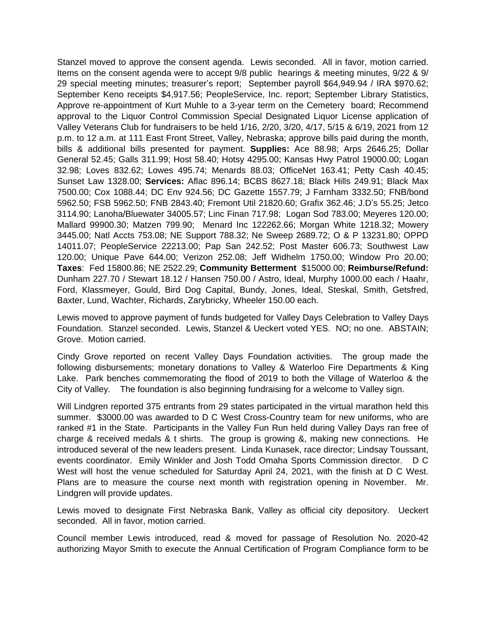Stanzel moved to approve the consent agenda. Lewis seconded. All in favor, motion carried. Items on the consent agenda were to accept 9/8 public hearings & meeting minutes, 9/22 & 9/ 29 special meeting minutes; treasurer's report; September payroll \$64,949.94 / IRA \$970.62; September Keno receipts \$4,917.56; PeopleService, Inc. report; September Library Statistics, Approve re-appointment of Kurt Muhle to a 3-year term on the Cemetery board; Recommend approval to the Liquor Control Commission Special Designated Liquor License application of Valley Veterans Club for fundraisers to be held 1/16, 2/20, 3/20, 4/17, 5/15 & 6/19, 2021 from 12 p.m. to 12 a.m. at 111 East Front Street, Valley, Nebraska; approve bills paid during the month, bills & additional bills presented for payment. **Supplies:** Ace 88.98; Arps 2646.25; Dollar General 52.45; Galls 311.99; Host 58.40; Hotsy 4295.00; Kansas Hwy Patrol 19000.00; Logan 32.98; Loves 832.62; Lowes 495.74; Menards 88.03; OfficeNet 163.41; Petty Cash 40.45; Sunset Law 1328.00; **Services:** Aflac 896.14; BCBS 8627.18; Black Hills 249.91; Black Max 7500.00; Cox 1088.44; DC Env 924.56; DC Gazette 1557.79; J Farnham 3332.50; FNB/bond 5962.50; FSB 5962.50; FNB 2843.40; Fremont Util 21820.60; Grafix 362.46; J.D's 55.25; Jetco 3114.90; Lanoha/Bluewater 34005.57; Linc Finan 717.98; Logan Sod 783.00; Meyeres 120.00; Mallard 99900.30; Matzen 799.90; Menard Inc 122262.66; Morgan White 1218.32; Mowery 3445.00; Natl Accts 753.08; NE Support 788.32; Ne Sweep 2689.72; O & P 13231.80; OPPD 14011.07; PeopleService 22213.00; Pap San 242.52; Post Master 606.73; Southwest Law 120.00; Unique Pave 644.00; Verizon 252.08; Jeff Widhelm 1750.00; Window Pro 20.00; **Taxes**: Fed 15800.86; NE 2522.29; **Community Betterment** \$15000.00; **Reimburse/Refund:** Dunham 227.70 / Stewart 18.12 / Hansen 750.00 / Astro, Ideal, Murphy 1000.00 each / Haahr, Ford, Klassmeyer, Gould, Bird Dog Capital, Bundy, Jones, Ideal, Steskal, Smith, Getsfred, Baxter, Lund, Wachter, Richards, Zarybricky, Wheeler 150.00 each.

Lewis moved to approve payment of funds budgeted for Valley Days Celebration to Valley Days Foundation. Stanzel seconded. Lewis, Stanzel & Ueckert voted YES. NO; no one. ABSTAIN; Grove. Motion carried.

Cindy Grove reported on recent Valley Days Foundation activities. The group made the following disbursements; monetary donations to Valley & Waterloo Fire Departments & King Lake. Park benches commemorating the flood of 2019 to both the Village of Waterloo & the City of Valley. The foundation is also beginning fundraising for a welcome to Valley sign.

Will Lindgren reported 375 entrants from 29 states participated in the virtual marathon held this summer. \$3000.00 was awarded to D C West Cross-Country team for new uniforms, who are ranked #1 in the State. Participants in the Valley Fun Run held during Valley Days ran free of charge & received medals & t shirts. The group is growing &, making new connections. He introduced several of the new leaders present. Linda Kunasek, race director; Lindsay Toussant, events coordinator. Emily Winkler and Josh Todd Omaha Sports Commission director. D C West will host the venue scheduled for Saturday April 24, 2021, with the finish at D C West. Plans are to measure the course next month with registration opening in November. Mr. Lindgren will provide updates.

Lewis moved to designate First Nebraska Bank, Valley as official city depository. Ueckert seconded. All in favor, motion carried.

Council member Lewis introduced, read & moved for passage of Resolution No. 2020-42 authorizing Mayor Smith to execute the Annual Certification of Program Compliance form to be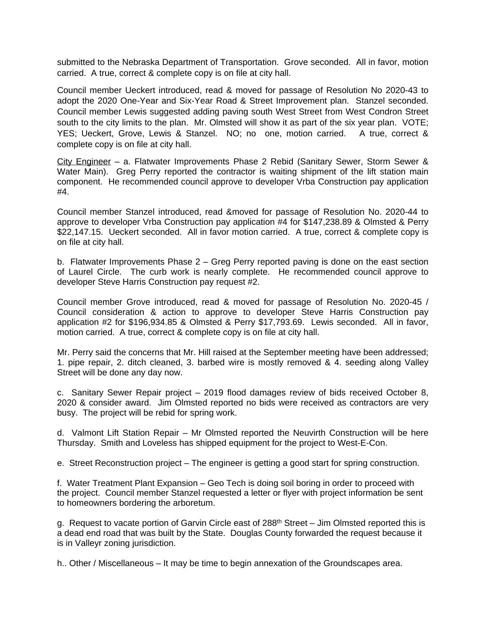submitted to the Nebraska Department of Transportation. Grove seconded. All in favor, motion carried. A true, correct & complete copy is on file at city hall.

Council member Ueckert introduced, read & moved for passage of Resolution No 2020-43 to adopt the 2020 One-Year and Six-Year Road & Street Improvement plan. Stanzel seconded. Council member Lewis suggested adding paving south West Street from West Condron Street south to the city limits to the plan. Mr. Olmsted will show it as part of the six year plan. VOTE; YES; Ueckert, Grove, Lewis & Stanzel. NO; no one, motion carried. A true, correct & complete copy is on file at city hall.

City Engineer – a. Flatwater Improvements Phase 2 Rebid (Sanitary Sewer, Storm Sewer & Water Main). Greg Perry reported the contractor is waiting shipment of the lift station main component. He recommended council approve to developer Vrba Construction pay application #4.

Council member Stanzel introduced, read &moved for passage of Resolution No. 2020-44 to approve to developer Vrba Construction pay application #4 for \$147,238.89 & Olmsted & Perry \$22,147.15. Ueckert seconded. All in favor motion carried. A true, correct & complete copy is on file at city hall.

b. Flatwater Improvements Phase 2 – Greg Perry reported paving is done on the east section of Laurel Circle. The curb work is nearly complete. He recommended council approve to developer Steve Harris Construction pay request #2.

Council member Grove introduced, read & moved for passage of Resolution No. 2020-45 / Council consideration & action to approve to developer Steve Harris Construction pay application #2 for \$196,934.85 & Olmsted & Perry \$17,793.69. Lewis seconded. All in favor, motion carried. A true, correct & complete copy is on file at city hall.

Mr. Perry said the concerns that Mr. Hill raised at the September meeting have been addressed; 1. pipe repair, 2. ditch cleaned, 3. barbed wire is mostly removed & 4. seeding along Valley Street will be done any day now.

c. Sanitary Sewer Repair project – 2019 flood damages review of bids received October 8, 2020 & consider award. Jim Olmsted reported no bids were received as contractors are very busy. The project will be rebid for spring work.

d. Valmont Lift Station Repair – Mr Olmsted reported the Neuvirth Construction will be here Thursday. Smith and Loveless has shipped equipment for the project to West-E-Con.

e. Street Reconstruction project – The engineer is getting a good start for spring construction.

f. Water Treatment Plant Expansion – Geo Tech is doing soil boring in order to proceed with the project. Council member Stanzel requested a letter or flyer with project information be sent to homeowners bordering the arboretum.

g. Request to vacate portion of Garvin Circle east of 288<sup>th</sup> Street – Jim Olmsted reported this is a dead end road that was built by the State. Douglas County forwarded the request because it is in Valleyr zoning jurisdiction.

h.. Other / Miscellaneous – It may be time to begin annexation of the Groundscapes area.